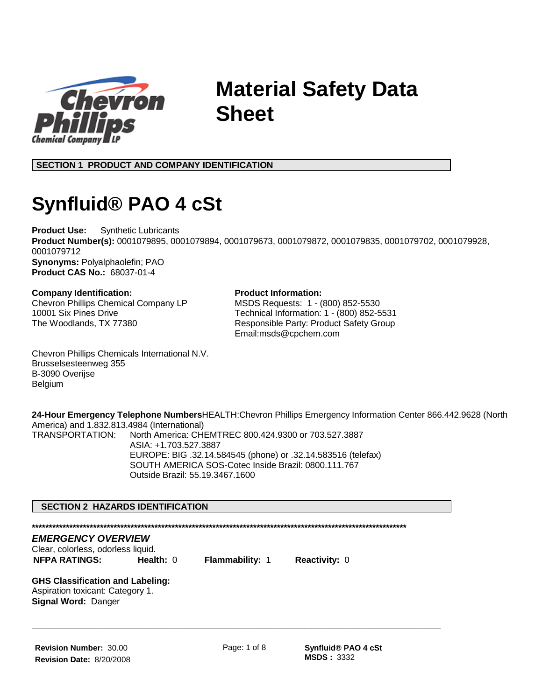

# **Material Safety Data Sheet**

**SECTION 1 PRODUCT AND COMPANY IDENTIFICATION**

# **Synfluid® PAO 4 cSt**

**Product Use:** Synthetic Lubricants **Product Number(s):** 0001079895, 0001079894, 0001079673, 0001079872, 0001079835, 0001079702, 0001079928, 0001079712 **Synonyms:** Polyalphaolefin; PAO **Product CAS No.:** 68037-01-4

#### **Company Identification:**

Chevron Phillips Chemical Company LP 10001 Six Pines Drive The Woodlands, TX 77380

### **Product Information:**

MSDS Requests: 1 - (800) 852-5530 Technical Information: 1 - (800) 852-5531 Responsible Party: Product Safety Group Email:msds@cpchem.com

Chevron Phillips Chemicals International N.V. Brusselsesteenweg 355 B-3090 Overijse Belgium

**24-Hour Emergency Telephone Numbers**HEALTH:Chevron Phillips Emergency Information Center 866.442.9628 (North America) and 1.832.813.4984 (International) TRANSPORTATION: North America: CHEMTREC 800.424.9300 or 703.527.3887 ASIA: +1.703.527.3887 EUROPE: BIG .32.14.584545 (phone) or .32.14.583516 (telefax) SOUTH AMERICA SOS-Cotec Inside Brazil: 0800.111.767 Outside Brazil: 55.19.3467.1600

#### **SECTION 2 HAZARDS IDENTIFICATION**

**\*\*\*\*\*\*\*\*\*\*\*\*\*\*\*\*\*\*\*\*\*\*\*\*\*\*\*\*\*\*\*\*\*\*\*\*\*\*\*\*\*\*\*\*\*\*\*\*\*\*\*\*\*\*\*\*\*\*\*\*\*\*\*\*\*\*\*\*\*\*\*\*\*\*\*\*\*\*\*\*\*\*\*\*\*\*\*\*\*\*\*\*\*\*\*\*\*\*\*\*\*\*\*\*\*\*\*\*\*\***

Clear, colorless, odorless liquid. **NFPA RATINGS: Health:** 0 **Flammability:** 1 **Reactivity:** 0

**GHS Classification and Labeling:** Aspiration toxicant: Category 1. **Signal Word:** Danger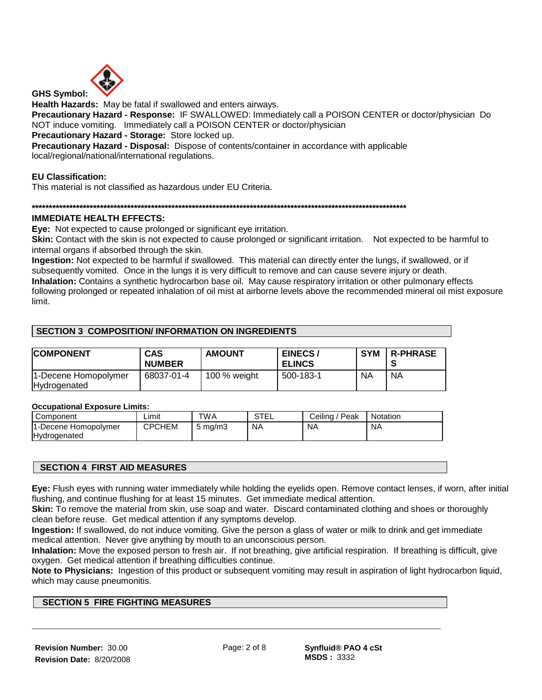

**Health Hazards:** May be fatal if swallowed and enters airways.

**Precautionary Hazard - Response:** IF SWALLOWED: Immediately call a POISON CENTER or doctor/physician Do NOT induce vomiting. Immediately call a POISON CENTER or doctor/physician

**Precautionary Hazard - Storage:** Store locked up.

**Precautionary Hazard - Disposal:** Dispose of contents/container in accordance with applicable local/regional/national/international regulations.

#### **EU Classification:**

This material is not classified as hazardous under EU Criteria.

**\*\*\*\*\*\*\*\*\*\*\*\*\*\*\*\*\*\*\*\*\*\*\*\*\*\*\*\*\*\*\*\*\*\*\*\*\*\*\*\*\*\*\*\*\*\*\*\*\*\*\*\*\*\*\*\*\*\*\*\*\*\*\*\*\*\*\*\*\*\*\*\*\*\*\*\*\*\*\*\*\*\*\*\*\*\*\*\*\*\*\*\*\*\*\*\*\*\*\*\*\*\*\*\*\*\*\*\*\*\***

#### **IMMEDIATE HEALTH EFFECTS:**

**Eye:** Not expected to cause prolonged or significant eye irritation.

**Skin:** Contact with the skin is not expected to cause prolonged or significant irritation. Not expected to be harmful to internal organs if absorbed through the skin.

**Ingestion:** Not expected to be harmful if swallowed. This material can directly enter the lungs, if swallowed, or if subsequently vomited. Once in the lungs it is very difficult to remove and can cause severe injury or death.

**Inhalation:** Contains a synthetic hydrocarbon base oil. May cause respiratory irritation or other pulmonary effects following prolonged or repeated inhalation of oil mist at airborne levels above the recommended mineral oil mist exposure limit.

#### **SECTION 3 COMPOSITION/ INFORMATION ON INGREDIENTS**

| <b>COMPONENT</b>                     | <b>CAS</b><br><b>NUMBER</b> | <b>AMOUNT</b>  | EINECS/<br><b>ELINCS</b> | <b>SYM</b> | <b>R-PHRASE</b> |
|--------------------------------------|-----------------------------|----------------|--------------------------|------------|-----------------|
| 1-Decene Homopolymer<br>Hydrogenated | 68037-01-4                  | 100 $%$ weight | 500-183-1                | ΝA         | <b>NA</b>       |

#### **Occupational Exposure Limits:**

| Component            | Limit  | TWA                | STEL      | Ceiling /<br>/ Peak | Notation  |
|----------------------|--------|--------------------|-----------|---------------------|-----------|
| 1-Decene Homopolymer | CPCHEM | $5 \text{ ma/m}$ 3 | <b>NA</b> | <b>NA</b>           | <b>NA</b> |
| Hydrogenated         |        |                    |           |                     |           |

#### **SECTION 4 FIRST AID MEASURES**

**Eye:** Flush eyes with running water immediately while holding the eyelids open. Remove contact lenses, if worn, after initial flushing, and continue flushing for at least 15 minutes. Get immediate medical attention.

**Skin:** To remove the material from skin, use soap and water. Discard contaminated clothing and shoes or thoroughly clean before reuse. Get medical attention if any symptoms develop.

**Ingestion:** If swallowed, do not induce vomiting. Give the person a glass of water or milk to drink and get immediate medical attention. Never give anything by mouth to an unconscious person.

**Inhalation:** Move the exposed person to fresh air. If not breathing, give artificial respiration. If breathing is difficult, give oxygen. Get medical attention if breathing difficulties continue.

**Note to Physicians:** Ingestion of this product or subsequent vomiting may result in aspiration of light hydrocarbon liquid, which may cause pneumonitis.

#### **SECTION 5 FIRE FIGHTING MEASURES**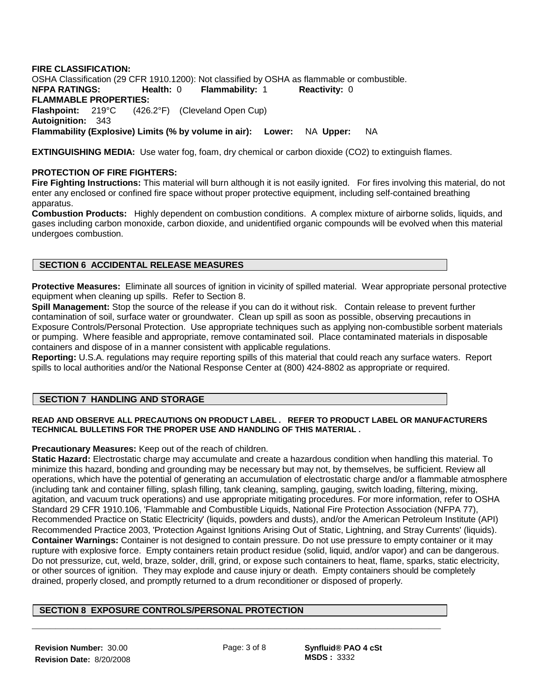**FIRE CLASSIFICATION:**  OSHA Classification (29 CFR 1910.1200): Not classified by OSHA as flammable or combustible. **NFPA RATINGS: Health:** 0 **Flammability:** 1 **Reactivity:** 0 **FLAMMABLE PROPERTIES: Flashpoint:** 219°C (426.2°F) (Cleveland Open Cup) **Autoignition:** 343 **Flammability (Explosive) Limits (% by volume in air): Lower:** NA **Upper:** NA

**EXTINGUISHING MEDIA:** Use water fog, foam, dry chemical or carbon dioxide (CO2) to extinguish flames.

#### **PROTECTION OF FIRE FIGHTERS:**

**Fire Fighting Instructions:** This material will burn although it is not easily ignited. For fires involving this material, do not enter any enclosed or confined fire space without proper protective equipment, including self-contained breathing apparatus.

**Combustion Products:** Highly dependent on combustion conditions. A complex mixture of airborne solids, liquids, and gases including carbon monoxide, carbon dioxide, and unidentified organic compounds will be evolved when this material undergoes combustion.

#### **SECTION 6 ACCIDENTAL RELEASE MEASURES**

**Protective Measures:** Eliminate all sources of ignition in vicinity of spilled material. Wear appropriate personal protective equipment when cleaning up spills. Refer to Section 8.

**Spill Management:** Stop the source of the release if you can do it without risk. Contain release to prevent further contamination of soil, surface water or groundwater. Clean up spill as soon as possible, observing precautions in Exposure Controls/Personal Protection. Use appropriate techniques such as applying non-combustible sorbent materials or pumping. Where feasible and appropriate, remove contaminated soil. Place contaminated materials in disposable containers and dispose of in a manner consistent with applicable regulations.

**Reporting:** U.S.A. regulations may require reporting spills of this material that could reach any surface waters. Report spills to local authorities and/or the National Response Center at (800) 424-8802 as appropriate or required.

#### **SECTION 7 HANDLING AND STORAGE**

#### **READ AND OBSERVE ALL PRECAUTIONS ON PRODUCT LABEL . REFER TO PRODUCT LABEL OR MANUFACTURERS TECHNICAL BULLETINS FOR THE PROPER USE AND HANDLING OF THIS MATERIAL .**

**Precautionary Measures:** Keep out of the reach of children.

**Static Hazard:** Electrostatic charge may accumulate and create a hazardous condition when handling this material. To minimize this hazard, bonding and grounding may be necessary but may not, by themselves, be sufficient. Review all operations, which have the potential of generating an accumulation of electrostatic charge and/or a flammable atmosphere (including tank and container filling, splash filling, tank cleaning, sampling, gauging, switch loading, filtering, mixing, agitation, and vacuum truck operations) and use appropriate mitigating procedures. For more information, refer to OSHA Standard 29 CFR 1910.106, 'Flammable and Combustible Liquids, National Fire Protection Association (NFPA 77), Recommended Practice on Static Electricity' (liquids, powders and dusts), and/or the American Petroleum Institute (API) Recommended Practice 2003, 'Protection Against Ignitions Arising Out of Static, Lightning, and Stray Currents' (liquids). **Container Warnings:** Container is not designed to contain pressure. Do not use pressure to empty container or it may rupture with explosive force. Empty containers retain product residue (solid, liquid, and/or vapor) and can be dangerous. Do not pressurize, cut, weld, braze, solder, drill, grind, or expose such containers to heat, flame, sparks, static electricity, or other sources of ignition. They may explode and cause injury or death. Empty containers should be completely drained, properly closed, and promptly returned to a drum reconditioner or disposed of properly.

#### **SECTION 8 EXPOSURE CONTROLS/PERSONAL PROTECTION**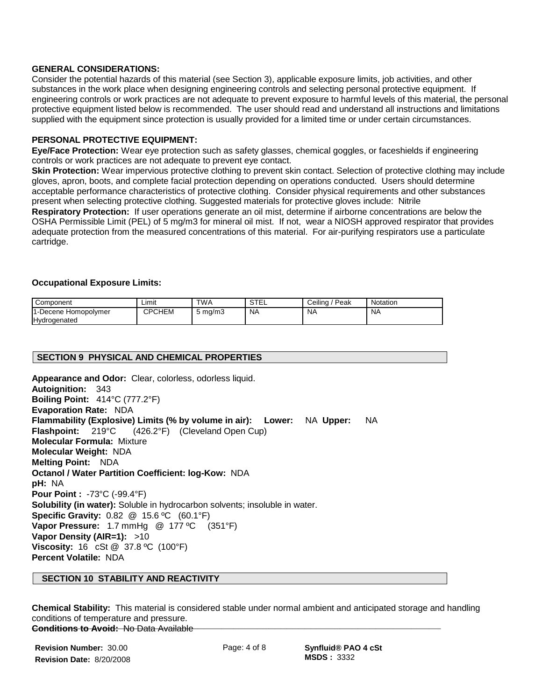#### **GENERAL CONSIDERATIONS:**

Consider the potential hazards of this material (see Section 3), applicable exposure limits, job activities, and other substances in the work place when designing engineering controls and selecting personal protective equipment. If engineering controls or work practices are not adequate to prevent exposure to harmful levels of this material, the personal protective equipment listed below is recommended. The user should read and understand all instructions and limitations supplied with the equipment since protection is usually provided for a limited time or under certain circumstances.

#### **PERSONAL PROTECTIVE EQUIPMENT:**

**Eye/Face Protection:** Wear eye protection such as safety glasses, chemical goggles, or faceshields if engineering controls or work practices are not adequate to prevent eye contact.

**Skin Protection:** Wear impervious protective clothing to prevent skin contact. Selection of protective clothing may include gloves, apron, boots, and complete facial protection depending on operations conducted. Users should determine acceptable performance characteristics of protective clothing. Consider physical requirements and other substances present when selecting protective clothing. Suggested materials for protective gloves include: Nitrile

**Respiratory Protection:** If user operations generate an oil mist, determine if airborne concentrations are below the OSHA Permissible Limit (PEL) of 5 mg/m3 for mineral oil mist. If not, wear a NIOSH approved respirator that provides adequate protection from the measured concentrations of this material. For air-purifying respirators use a particulate cartridge.

#### **Occupational Exposure Limits:**

| Component                                                  | Limit         | <b>TWA</b>         | $\sim$ $\sim$<br>ᄇ<br>ບ ເ | Ceilina<br>Peak | Notation       |
|------------------------------------------------------------|---------------|--------------------|---------------------------|-----------------|----------------|
| $\overline{A}$<br>-Decene Homopolymer<br>.<br>Hydrogenated | <b>CPCHEM</b> | $5 \text{ ma/m}$ 3 | N <sub>A</sub>            | N <sub>A</sub>  | N <sub>A</sub> |

#### **SECTION 9 PHYSICAL AND CHEMICAL PROPERTIES**

**Appearance and Odor:** Clear, colorless, odorless liquid. **Autoignition:** 343 **Boiling Point:** 414°C (777.2°F) **Evaporation Rate:** NDA **Flammability (Explosive) Limits (% by volume in air): Lower:** NA **Upper:** NA **Flashpoint:** 219°C (426.2°F) (Cleveland Open Cup) **Molecular Formula:** Mixture **Molecular Weight:** NDA **Melting Point:** NDA **Octanol / Water Partition Coefficient: log-Kow:** NDA **pH:** NA **Pour Point :** -73°C (-99.4°F) **Solubility (in water):** Soluble in hydrocarbon solvents; insoluble in water. **Specific Gravity:** 0.82 @ 15.6 ºC (60.1°F) **Vapor Pressure:** 1.7 mmHg @ 177 ºC (351°F) **Vapor Density (AIR=1):** >10 **Viscosity:** 16 cSt @ 37.8 ºC (100°F) **Percent Volatile:** NDA

#### **SECTION 10 STABILITY AND REACTIVITY**

**Chemical Stability:** This material is considered stable under normal ambient and anticipated storage and handling conditions of temperature and pressure. **Conditions to Avoid:** No Data Available **\_\_\_\_\_\_\_\_\_\_\_\_\_\_\_\_\_\_\_\_\_\_\_\_\_\_\_\_\_\_\_\_\_\_\_\_\_\_\_\_\_\_\_\_\_\_\_\_\_\_\_\_\_\_\_\_\_\_\_\_\_\_\_\_\_\_\_\_\_**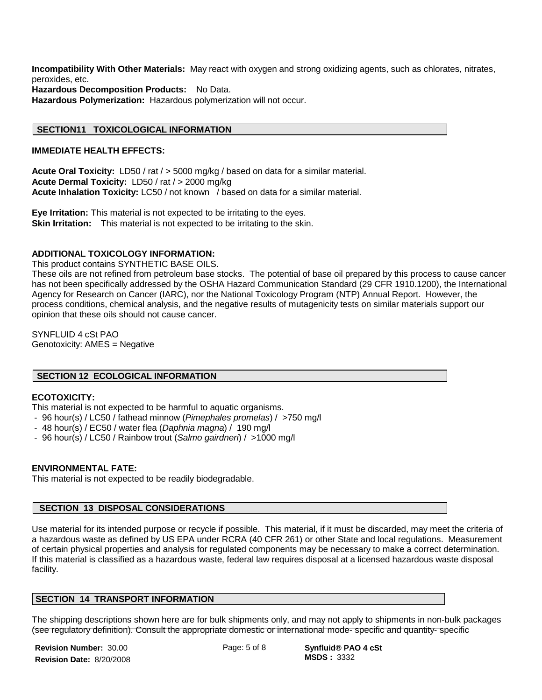**Incompatibility With Other Materials:** May react with oxygen and strong oxidizing agents, such as chlorates, nitrates, peroxides, etc.

**Hazardous Decomposition Products:** No Data.

**Hazardous Polymerization:** Hazardous polymerization will not occur.

#### **SECTION11 TOXICOLOGICAL INFORMATION**

#### **IMMEDIATE HEALTH EFFECTS:**

**Acute Oral Toxicity:** LD50 / rat / > 5000 mg/kg / based on data for a similar material. **Acute Dermal Toxicity:** LD50 / rat / > 2000 mg/kg **Acute Inhalation Toxicity:** LC50 / not known / based on data for a similar material.

**Eye Irritation:** This material is not expected to be irritating to the eyes. **Skin Irritation:** This material is not expected to be irritating to the skin.

#### **ADDITIONAL TOXICOLOGY INFORMATION:**

This product contains SYNTHETIC BASE OILS.

These oils are not refined from petroleum base stocks. The potential of base oil prepared by this process to cause cancer has not been specifically addressed by the OSHA Hazard Communication Standard (29 CFR 1910.1200), the International Agency for Research on Cancer (IARC), nor the National Toxicology Program (NTP) Annual Report. However, the process conditions, chemical analysis, and the negative results of mutagenicity tests on similar materials support our opinion that these oils should not cause cancer.

SYNFLUID 4 cSt PAO Genotoxicity: AMES = Negative

#### **SECTION 12 ECOLOGICAL INFORMATION**

#### **ECOTOXICITY:**

This material is not expected to be harmful to aquatic organisms.

- 96 hour(s) / LC50 / fathead minnow (*Pimephales promelas*) / >750 mg/l
- 48 hour(s) / EC50 / water flea (*Daphnia magna*) / 190 mg/l
- 96 hour(s) / LC50 / Rainbow trout (*Salmo gairdneri*) / >1000 mg/l

#### **ENVIRONMENTAL FATE:**

This material is not expected to be readily biodegradable.

#### **SECTION 13 DISPOSAL CONSIDERATIONS**

Use material for its intended purpose or recycle if possible. This material, if it must be discarded, may meet the criteria of a hazardous waste as defined by US EPA under RCRA (40 CFR 261) or other State and local regulations. Measurement of certain physical properties and analysis for regulated components may be necessary to make a correct determination. If this material is classified as a hazardous waste, federal law requires disposal at a licensed hazardous waste disposal facility.

#### **SECTION 14 TRANSPORT INFORMATION**

The shipping descriptions shown here are for bulk shipments only, and may not apply to shipments in non-bulk packages<br>fore requiring description). Consult the conceptions demostic or international mode, enceitie and quanti (see regulatory definition). Consult the appropriate domestic or international mode- specific and quantity- specific 

**Revision Number:** 30.00 **Revision Date:** 8/20/2008

Page: 5 of 8 **Synfluid® PAO 4 cSt MSDS :** 3332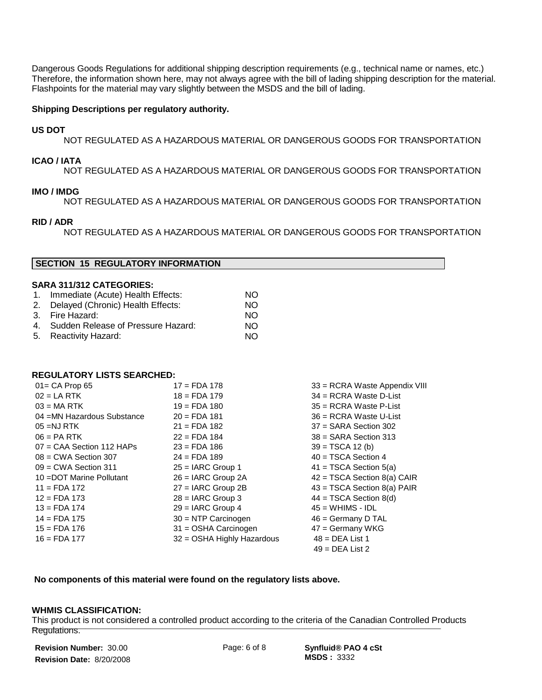Dangerous Goods Regulations for additional shipping description requirements (e.g., technical name or names, etc.) Therefore, the information shown here, may not always agree with the bill of lading shipping description for the material. Flashpoints for the material may vary slightly between the MSDS and the bill of lading.

#### **Shipping Descriptions per regulatory authority.**

#### **US DOT**

NOT REGULATED AS A HAZARDOUS MATERIAL OR DANGEROUS GOODS FOR TRANSPORTATION

#### **ICAO / IATA**

NOT REGULATED AS A HAZARDOUS MATERIAL OR DANGEROUS GOODS FOR TRANSPORTATION

#### **IMO / IMDG**

NOT REGULATED AS A HAZARDOUS MATERIAL OR DANGEROUS GOODS FOR TRANSPORTATION

#### **RID / ADR**

NOT REGULATED AS A HAZARDOUS MATERIAL OR DANGEROUS GOODS FOR TRANSPORTATION

#### **SECTION 15 REGULATORY INFORMATION**

#### **SARA 311/312 CATEGORIES:**

| 1. Immediate (Acute) Health Effects:  | NO. |
|---------------------------------------|-----|
| 2. Delayed (Chronic) Health Effects:  | NO. |
| 3. Fire Hazard:                       | NO. |
| 4. Sudden Release of Pressure Hazard: | NO. |
| 5. Reactivity Hazard:                 | NΩ  |

#### **REGULATORY LISTS SEARCHED:**

| $01 = CA$ Prop 65           | $17 = FDA 178$             | 33 = RCRA Waste Appendix VIII |
|-----------------------------|----------------------------|-------------------------------|
| $02 = LA RTK$               | $18 =$ FDA 179             | $34 = RCRA$ Waste D-List      |
| $03 = MA RTK$               | $19 =$ FDA 180             | $35 = RCRA$ Waste P-List      |
| 04 = MN Hazardous Substance | $20 = FDA 181$             | $36$ = RCRA Waste U-List      |
| $05 = NJ RTK$               | $21 = FDA 182$             | $37 = SARA$ Section 302       |
| $06 = PA$ RTK               | $22 = FDA 184$             | $38 =$ SARA Section 313       |
| $07 = CAA$ Section 112 HAPs | $23 = FDA 186$             | $39 = TSCA 12 (b)$            |
| $08 = CWA$ Section 307      | $24 = FDA 189$             | $40 = TSCA Section 4$         |
| $09 = CWA$ Section 311      | $25 = IARC$ Group 1        | $41 = TSCA Section 5(a)$      |
| 10 = DOT Marine Pollutant   | $26 = IARC$ Group $2A$     | $42 = TSCA Section 8(a) CAIR$ |
| $11 = FDA 172$              | $27 = IARC$ Group 2B       | $43 = TSCA Section 8(a) PAIR$ |
| $12 = FDA 173$              | $28 = IARC$ Group 3        | $44 = TSCA Section 8(d)$      |
| $13 = FDA 174$              | $29 = IARC$ Group 4        | $45 = WHIMS - IDL$            |
| $14 =$ FDA 175              | $30 = NTP$ Carcinogen      | $46 =$ Germany D TAL          |
| $15 =$ FDA 176              | 31 = OSHA Carcinogen       | $47 =$ Germany WKG            |
| $16 = FDA 177$              | 32 = OSHA Highly Hazardous | $48 = DEA List 1$             |
|                             |                            | $49 = DEA List 2$             |

#### **No components of this material were found on the regulatory lists above.**

#### **WHMIS CLASSIFICATION:**

This product is not considered a controlled product according to the criteria of the Canadian Controlled Products<br> **Drawlptions** Regulations. 

**Revision Number:** 30.00 **Revision Date:** 8/20/2008

Page: 6 of 8 **Synfluid® PAO 4 cSt MSDS :** 3332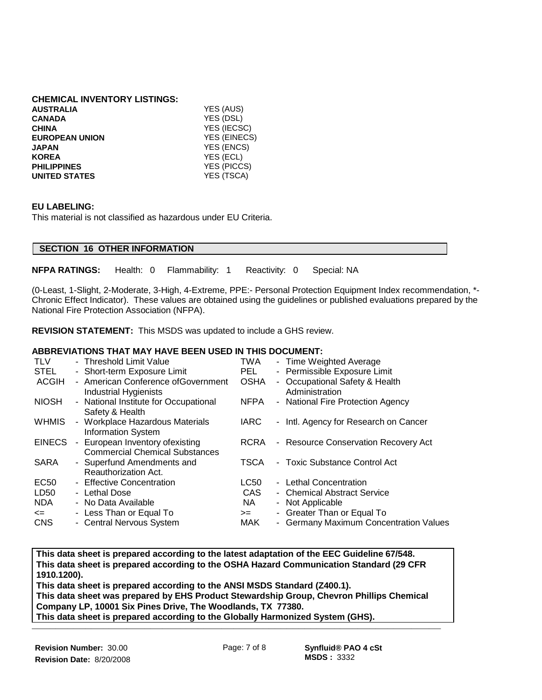## **CHEMICAL INVENTORY LISTINGS:**

| <b>AUSTRALIA</b>      | YES (AUS)          |
|-----------------------|--------------------|
| <b>CANADA</b>         | YES (DSL)          |
| <b>CHINA</b>          | YES (IECSC)        |
| <b>EUROPEAN UNION</b> | YES (EINECS)       |
| <b>JAPAN</b>          | YES (ENCS)         |
| <b>KOREA</b>          | YES (ECL)          |
| <b>PHILIPPINES</b>    | <b>YES (PICCS)</b> |
| <b>UNITED STATES</b>  | YES (TSCA)         |
|                       |                    |

#### **EU LABELING:**

This material is not classified as hazardous under EU Criteria.

### **SECTION 16 OTHER INFORMATION**

**NFPA RATINGS:** Health: 0 Flammability: 1 Reactivity: 0 Special: NA

(0-Least, 1-Slight, 2-Moderate, 3-High, 4-Extreme, PPE:- Personal Protection Equipment Index recommendation, \*- Chronic Effect Indicator). These values are obtained using the guidelines or published evaluations prepared by the National Fire Protection Association (NFPA).

**REVISION STATEMENT:** This MSDS was updated to include a GHS review.

#### **ABBREVIATIONS THAT MAY HAVE BEEN USED IN THIS DOCUMENT:**

| <b>TLV</b>    | - Threshold Limit Value                                                           | TWA         | - Time Weighted Average                          |
|---------------|-----------------------------------------------------------------------------------|-------------|--------------------------------------------------|
| <b>STEL</b>   | - Short-term Exposure Limit                                                       | PEL.        | - Permissible Exposure Limit                     |
| <b>ACGIH</b>  | - American Conference ofGovernment<br>Industrial Hygienists                       | <b>OSHA</b> | - Occupational Safety & Health<br>Administration |
| <b>NIOSH</b>  | - National Institute for Occupational<br>Safety & Health                          | <b>NFPA</b> | - National Fire Protection Agency                |
| <b>WHMIS</b>  | - Workplace Hazardous Materials<br><b>Information System</b>                      | <b>IARC</b> | - Intl. Agency for Research on Cancer            |
| <b>EINECS</b> | European Inventory of existing<br>$\sim$<br><b>Commercial Chemical Substances</b> | RCRA        | - Resource Conservation Recovery Act             |
| <b>SARA</b>   | - Superfund Amendments and<br>Reauthorization Act.                                | <b>TSCA</b> | - Toxic Substance Control Act                    |
| EC50          | - Effective Concentration                                                         | LC50        | - Lethal Concentration                           |
| LD50          | - Lethal Dose                                                                     | CAS         | - Chemical Abstract Service                      |
| <b>NDA</b>    | - No Data Available                                                               | NA.         | - Not Applicable                                 |
| $\leq$        | - Less Than or Equal To                                                           | $>=$        | - Greater Than or Equal To                       |
| <b>CNS</b>    | - Central Nervous System                                                          | MAK.        | - Germany Maximum Concentration Values           |

**This data sheet is prepared according to the latest adaptation of the EEC Guideline 67/548. This data sheet is prepared according to the OSHA Hazard Communication Standard (29 CFR 1910.1200).** 

**This data sheet is prepared according to the ANSI MSDS Standard (Z400.1). This data sheet was prepared by EHS Product Stewardship Group, Chevron Phillips Chemical Company LP, 10001 Six Pines Drive, The Woodlands, TX 77380. This data sheet is prepared according to the Globally Harmonized System (GHS). \_\_\_\_\_\_\_\_\_\_\_\_\_\_\_\_\_\_\_\_\_\_\_\_\_\_\_\_\_\_\_\_\_\_\_\_\_\_\_\_\_\_\_\_\_\_\_\_\_\_\_\_\_\_\_\_\_\_\_\_\_\_\_\_\_\_\_\_\_**

 $\overline{a}$